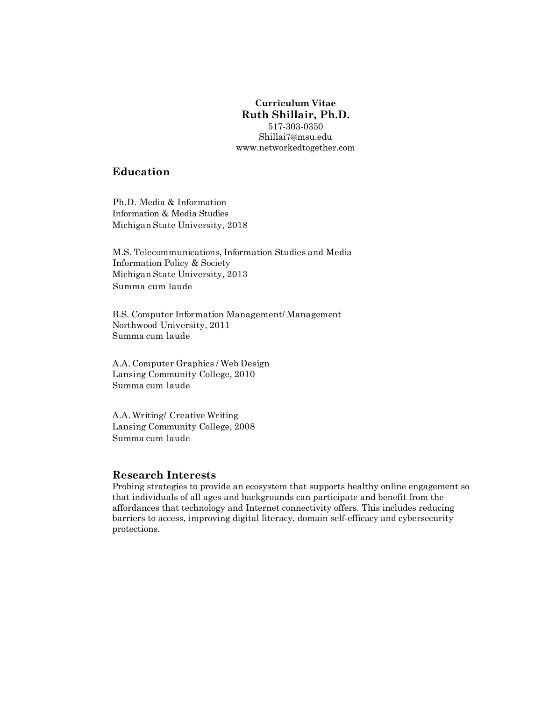# **Curriculum Vitae Ruth Shillair, Ph.D.** 517-303-0350 Shillai7@msu.edu

www.networkedtogether.com

# **Education**

Ph.D. Media & Information Information & Media Studies Michigan State University, 2018

M.S. Telecommunications, Information Studies and Media Information Policy & Society Michigan State University, 2013 Summa cum laude

B.S. Computer Information Management/ Management Northwood University, 2011 Summa cum laude

A.A. Computer Graphics / Web Design Lansing Community College, 2010 Summa cum laude

A.A. Writing/ Creative Writing Lansing Community College, 2008 Summa cum laude

# **Research Interests**

Probing strategies to provide an ecosystem that supports healthy online engagement so that individuals of all ages and backgrounds can participate and benefit from the affordances that technology and Internet connectivity offers. This includes reducing barriers to access, improving digital literacy, domain self-efficacy and cybersecurity protections.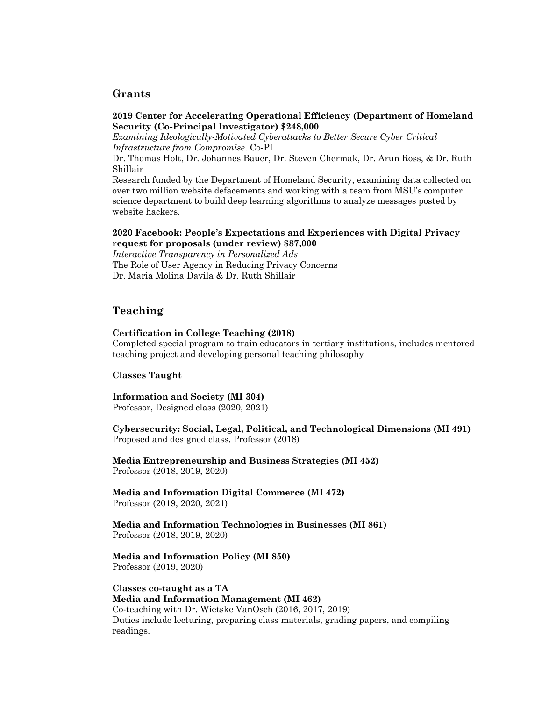# **Grants**

#### **2019 Center for Accelerating Operational Efficiency (Department of Homeland Security (Co-Principal Investigator) \$248,000**

*Examining Ideologically-Motivated Cyberattacks to Better Secure Cyber Critical Infrastructure from Compromise*. Co-PI

Dr. Thomas Holt, Dr. Johannes Bauer, Dr. Steven Chermak, Dr. Arun Ross, & Dr. Ruth Shillair

Research funded by the Department of Homeland Security, examining data collected on over two million website defacements and working with a team from MSU's computer science department to build deep learning algorithms to analyze messages posted by website hackers.

#### **2020 Facebook: People's Expectations and Experiences with Digital Privacy request for proposals (under review) \$87,000**

*Interactive Transparency in Personalized Ads* The Role of User Agency in Reducing Privacy Concerns Dr. Maria Molina Davila & Dr. Ruth Shillair

# **Teaching**

#### **Certification in College Teaching (2018)**

Completed special program to train educators in tertiary institutions, includes mentored teaching project and developing personal teaching philosophy

#### **Classes Taught**

**Information and Society (MI 304)** Professor, Designed class (2020, 2021)

**Cybersecurity: Social, Legal, Political, and Technological Dimensions (MI 491)** Proposed and designed class, Professor (2018)

**Media Entrepreneurship and Business Strategies (MI 452)**  Professor (2018, 2019, 2020)

**Media and Information Digital Commerce (MI 472)** Professor (2019, 2020, 2021)

**Media and Information Technologies in Businesses (MI 861)**  Professor (2018, 2019, 2020)

#### **Media and Information Policy (MI 850)** Professor (2019, 2020)

**Classes co-taught as a TA Media and Information Management (MI 462)** Co-teaching with Dr. Wietske VanOsch (2016, 2017, 2019) Duties include lecturing, preparing class materials, grading papers, and compiling readings.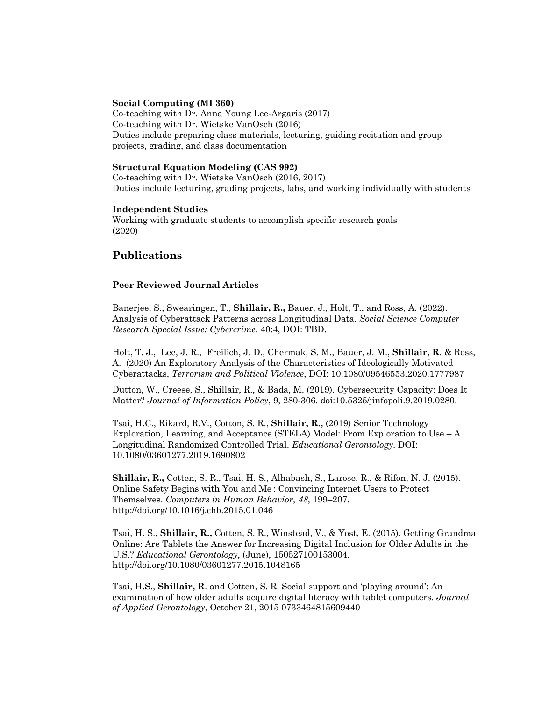#### **Social Computing (MI 360)**

Co-teaching with Dr. Anna Young Lee-Argaris (2017) Co-teaching with Dr. Wietske VanOsch (2016) Duties include preparing class materials, lecturing, guiding recitation and group projects, grading, and class documentation

#### **Structural Equation Modeling (CAS 992)**

Co-teaching with Dr. Wietske VanOsch (2016, 2017) Duties include lecturing, grading projects, labs, and working individually with students

#### **Independent Studies**

Working with graduate students to accomplish specific research goals (2020)

# **Publications**

#### **Peer Reviewed Journal Articles**

Banerjee, S., Swearingen, T., **Shillair, R.,** Bauer, J., Holt, T., and Ross, A. (2022). Analysis of Cyberattack Patterns across Longitudinal Data. *Social Science Computer Research Special Issue: Cybercrime.* 40:4, DOI: TBD.

Holt, T. J., Lee, J. R., Freilich, J. D., Chermak, S. M., Bauer, J. M., **Shillair, R**. & Ross, A. (2020) An Exploratory Analysis of the Characteristics of Ideologically Motivated Cyberattacks, *Terrorism and Political Violence*, DOI: 10.1080/09546553.2020.1777987

Dutton, W., Creese, S., Shillair, R., & Bada, M. (2019). Cybersecurity Capacity: Does It Matter? *Journal of Information Policy*, 9, 280-306. doi:10.5325/jinfopoli.9.2019.0280.

Tsai, H.C., Rikard, R.V., Cotton, S. R., **Shillair, R.,** (2019) Senior Technology Exploration, Learning, and Acceptance (STELA) Model: From Exploration to Use  $-A$ Longitudinal Randomized Controlled Trial. *Educational Gerontology*. DOI: 10.1080/03601277.2019.1690802

**Shillair, R.,** Cotten, S. R., Tsai, H. S., Alhabash, S., Larose, R., & Rifon, N. J. (2015). Online Safety Begins with You and Me : Convincing Internet Users to Protect Themselves. *Computers in Human Behavior*, *48*, 199–207. http://doi.org/10.1016/j.chb.2015.01.046

Tsai, H. S., **Shillair, R.,** Cotten, S. R., Winstead, V., & Yost, E. (2015). Getting Grandma Online: Are Tablets the Answer for Increasing Digital Inclusion for Older Adults in the U.S.? *Educational Gerontology*, (June), 150527100153004. http://doi.org/10.1080/03601277.2015.1048165

Tsai, H.S., **Shillair, R**. and Cotten, S. R. Social support and 'playing around': An examination of how older adults acquire digital literacy with tablet computers. *Journal of Applied Gerontology*, October 21, 2015 0733464815609440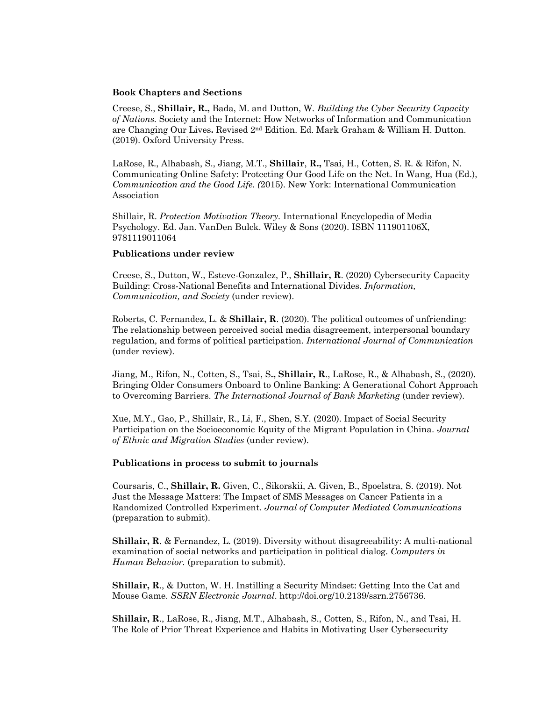#### **Book Chapters and Sections**

Creese, S., **Shillair, R.,** Bada, M. and Dutton, W*. Building the Cyber Security Capacity of Nations.* Society and the Internet: How Networks of Information and Communication are Changing Our Lives**.** Revised 2nd Edition. Ed. Mark Graham & William H. Dutton. (2019). Oxford University Press.

LaRose, R., Alhabash, S., Jiang, M.T., **Shillair**, **R.,** Tsai, H., Cotten, S. R. & Rifon, N. Communicating Online Safety: Protecting Our Good Life on the Net. In Wang, Hua (Ed.), *Communication and the Good Life. (*2015). New York: International Communication Association

Shillair, R. *Protection Motivation Theory.* International Encyclopedia of Media Psychology. Ed. Jan. VanDen Bulck. Wiley & Sons (2020). ISBN 111901106X, 9781119011064

#### **Publications under review**

Creese, S., Dutton, W., Esteve-Gonzalez, P., **Shillair, R**. (2020) Cybersecurity Capacity Building: Cross-National Benefits and International Divides. *Information, Communication, and Society* (under review).

Roberts, C. Fernandez, L. & **Shillair, R**. (2020). The political outcomes of unfriending: The relationship between perceived social media disagreement, interpersonal boundary regulation, and forms of political participation. *International Journal of Communication* (under review).

Jiang, M., Rifon, N., Cotten, S., Tsai, S**., Shillair, R**., LaRose, R., & Alhabash, S., (2020). Bringing Older Consumers Onboard to Online Banking: A Generational Cohort Approach to Overcoming Barriers. *The International Journal of Bank Marketing* (under review).

Xue, M.Y., Gao, P., Shillair, R., Li, F., Shen, S.Y. (2020). Impact of Social Security Participation on the Socioeconomic Equity of the Migrant Population in China. *Journal of Ethnic and Migration Studies* (under review).

## **Publications in process to submit to journals**

Coursaris, C., **Shillair, R.** Given, C., Sikorskii, A. Given, B., Spoelstra, S. (2019). Not Just the Message Matters: The Impact of SMS Messages on Cancer Patients in a Randomized Controlled Experiment. *Journal of Computer Mediated Communications* (preparation to submit).

**Shillair, R**. & Fernandez, L. (2019). Diversity without disagreeability: A multi-national examination of social networks and participation in political dialog. *Computers in Human Behavior.* (preparation to submit).

**Shillair, R**., & Dutton, W. H. Instilling a Security Mindset: Getting Into the Cat and Mouse Game. *SSRN Electronic Journal*. http://doi.org/10.2139/ssrn.2756736*.* 

**Shillair, R**., LaRose, R., Jiang, M.T., Alhabash, S., Cotten, S., Rifon, N., and Tsai, H. The Role of Prior Threat Experience and Habits in Motivating User Cybersecurity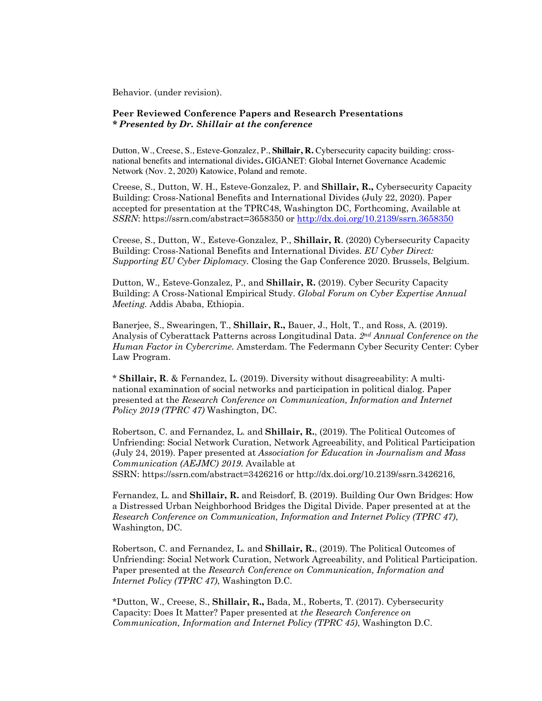Behavior. (under revision).

#### **Peer Reviewed Conference Papers and Research Presentations** *\* Presented by Dr. Shillair at the conference*

Dutton, W., Creese, S., Esteve-Gonzalez, P., **Shillair, R.** Cybersecurity capacity building: crossnational benefits and international divides**.** GIGANET: Global Internet Governance Academic Network (Nov. 2, 2020) Katowice, Poland and remote.

Creese, S., Dutton, W. H., Esteve-Gonzalez, P. and **Shillair, R.,** Cybersecurity Capacity Building: Cross-National Benefits and International Divides (July 22, 2020). Paper accepted for presentation at the TPRC48, Washington DC, Forthcoming, Available at *SSRN*: https://ssrn.com/abstract=3658350 or http://dx.doi.org/10.2139/ssrn.3658350

Creese, S., Dutton, W., Esteve-Gonzalez, P., **Shillair, R**. (2020) Cybersecurity Capacity Building: Cross-National Benefits and International Divides. *EU Cyber Direct: Supporting EU Cyber Diplomacy.* Closing the Gap Conference 2020. Brussels, Belgium.

Dutton, W., Esteve-Gonzalez, P., and **Shillair, R.** (2019). Cyber Security Capacity Building: A Cross-National Empirical Study. *Global Forum on Cyber Expertise Annual Meeting.* Addis Ababa, Ethiopia.

Banerjee, S., Swearingen, T., **Shillair, R.,** Bauer, J., Holt, T., and Ross, A. (2019). Analysis of Cyberattack Patterns across Longitudinal Data. *2nd Annual Conference on the Human Factor in Cybercrime.* Amsterdam. The Federmann Cyber Security Center: Cyber Law Program.

\* **Shillair, R**. & Fernandez, L. (2019). Diversity without disagreeability: A multinational examination of social networks and participation in political dialog. Paper presented at the *Research Conference on Communication, Information and Internet Policy 2019 (TPRC 47)* Washington, DC.

Robertson, C. and Fernandez, L. and **Shillair, R.**, (2019). The Political Outcomes of Unfriending: Social Network Curation, Network Agreeability, and Political Participation (July 24, 2019). Paper presented at *Association for Education in Journalism and Mass Communication (AEJMC) 2019*. Available at SSRN: https://ssrn.com/abstract=3426216 or http://dx.doi.org/10.2139/ssrn.3426216,

Fernandez, L. and **Shillair, R.** and Reisdorf, B. (2019). Building Our Own Bridges: How a Distressed Urban Neighborhood Bridges the Digital Divide. Paper presented at at the *Research Conference on Communication, Information and Internet Policy (TPRC 47)*, Washington, DC.

Robertson, C. and Fernandez, L. and **Shillair, R.**, (2019). The Political Outcomes of Unfriending: Social Network Curation, Network Agreeability, and Political Participation. Paper presented at the *Research Conference on Communication, Information and Internet Policy (TPRC 47)*, Washington D.C.

\*Dutton, W., Creese, S., **Shillair, R.,** Bada, M., Roberts, T. (2017). Cybersecurity Capacity: Does It Matter? Paper presented at *the Research Conference on Communication, Information and Internet Policy (TPRC 45)*, Washington D.C.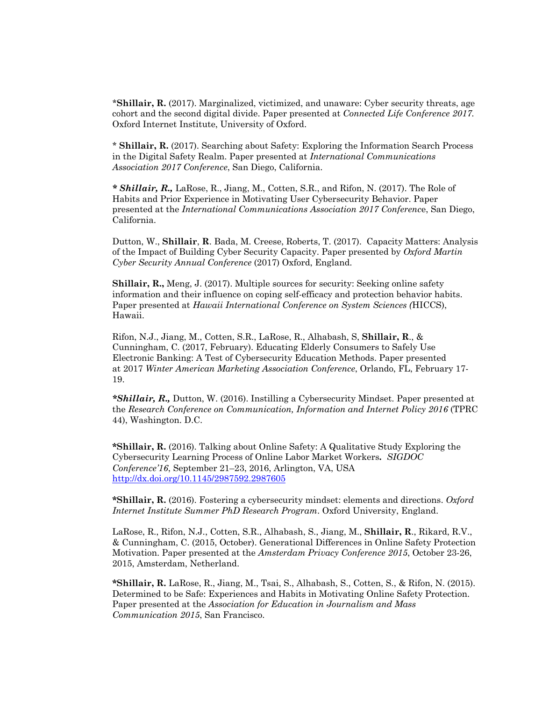\***Shillair, R.** (2017). Marginalized, victimized, and unaware: Cyber security threats, age cohort and the second digital divide. Paper presented at *Connected Life Conference 2017.* Oxford Internet Institute, University of Oxford.

\* **Shillair, R.** (2017). Searching about Safety: Exploring the Information Search Process in the Digital Safety Realm. Paper presented at *International Communications Association 2017 Conference*, San Diego, California.

*\* Shillair, R.,* LaRose, R., Jiang, M., Cotten, S.R., and Rifon, N. (2017). The Role of Habits and Prior Experience in Motivating User Cybersecurity Behavior. Paper presented at the *International Communications Association 2017 Conferenc*e, San Diego, California.

Dutton, W., **Shillair**, **R**. Bada, M. Creese, Roberts, T. (2017). Capacity Matters: Analysis of the Impact of Building Cyber Security Capacity. Paper presented by *Oxford Martin Cyber Security Annual Conference* (2017) Oxford, England.

**Shillair, R.,** Meng, J. (2017). Multiple sources for security: Seeking online safety information and their influence on coping self-efficacy and protection behavior habits. Paper presented at *Hawaii International Conference on System Sciences (*HICCS), Hawaii.

Rifon, N.J., Jiang, M., Cotten, S.R., LaRose, R., Alhabash, S, **Shillair, R**., & Cunningham, C. (2017, February). Educating Elderly Consumers to Safely Use Electronic Banking: A Test of Cybersecurity Education Methods. Paper presented at 2017 *Winter American Marketing Association Conference*, Orlando, FL, February 17- 19.

*\*Shillair, R.,* Dutton, W. (2016). Instilling a Cybersecurity Mindset. Paper presented at the *Research Conference on Communication, Information and Internet Policy 2016* (TPRC 44), Washington. D.C.

**\*Shillair, R.** (2016). Talking about Online Safety: A Qualitative Study Exploring the Cybersecurity Learning Process of Online Labor Market Workers**.** *SIGDOC Conference'16*, September 21–23, 2016, Arlington, VA, USA http://dx.doi.org/10.1145/2987592.2987605

**\*Shillair, R.** (2016). Fostering a cybersecurity mindset: elements and directions. *Oxford Internet Institute Summer PhD Research Program*. Oxford University, England.

LaRose, R., Rifon, N.J., Cotten, S.R., Alhabash, S., Jiang, M., **Shillair, R**., Rikard, R.V., & Cunningham, C. (2015, October). Generational Differences in Online Safety Protection Motivation. Paper presented at the *Amsterdam Privacy Conference 2015*, October 23-26, 2015, Amsterdam, Netherland.

**\*Shillair, R.** LaRose, R., Jiang, M., Tsai, S., Alhabash, S., Cotten, S., & Rifon, N. (2015). Determined to be Safe: Experiences and Habits in Motivating Online Safety Protection. Paper presented at the *Association for Education in Journalism and Mass Communication 2015*, San Francisco.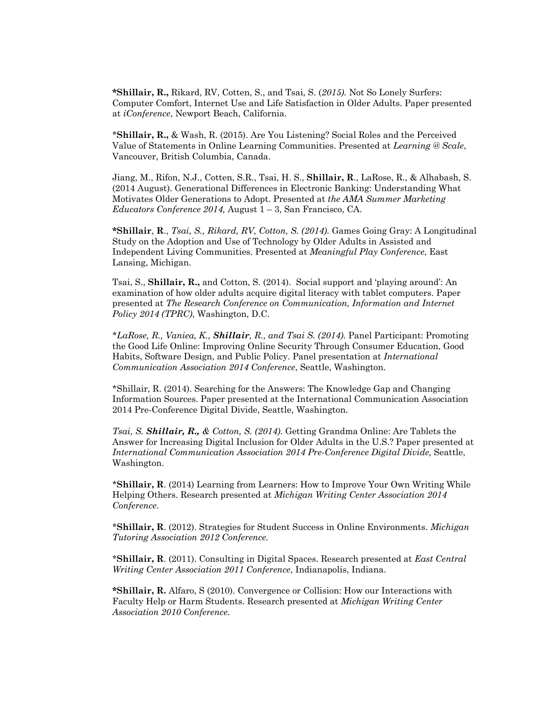**\*Shillair, R.,** Rikard, RV, Cotten, S., and Tsai, S. (*2015).* Not So Lonely Surfers: Computer Comfort, Internet Use and Life Satisfaction in Older Adults. Paper presented at *iConference*, Newport Beach, California.

\***Shillair, R.,** & Wash, R. (2015). Are You Listening? Social Roles and the Perceived Value of Statements in Online Learning Communities. Presented at *Learning @ Scale*, Vancouver, British Columbia, Canada.

Jiang, M., Rifon, N.J., Cotten, S.R., Tsai, H. S., **Shillair, R**., LaRose, R., & Alhabash, S. (2014 August). Generational Differences in Electronic Banking: Understanding What Motivates Older Generations to Adopt. Presented at *the AMA Summer Marketing Educators Conference 2014,* August 1 – 3, San Francisco, CA.

**\*Shillair**, **R**., *Tsai, S., Rikard, RV, Cotton, S. (2014).* Games Going Gray: A Longitudinal Study on the Adoption and Use of Technology by Older Adults in Assisted and Independent Living Communities. Presented at *Meaningful Play Conference*, East Lansing, Michigan.

Tsai, S., **Shillair, R.,** and Cotton, S. (2014). Social support and 'playing around': An examination of how older adults acquire digital literacy with tablet computers. Paper presented at *The Research Conference on Communication, Information and Internet Policy 2014 (TPRC)*, Washington, D.C.

*\*LaRose, R., Vaniea, K., Shillair, R., and Tsai S. (2014).* Panel Participant: Promoting the Good Life Online: Improving Online Security Through Consumer Education, Good Habits, Software Design, and Public Policy. Panel presentation at *International Communication Association 2014 Conference*, Seattle, Washington.

\*Shillair, R. (2014). Searching for the Answers: The Knowledge Gap and Changing Information Sources. Paper presented at the International Communication Association 2014 Pre-Conference Digital Divide, Seattle, Washington.

*Tsai, S. Shillair, R., & Cotton, S. (2014).* Getting Grandma Online: Are Tablets the Answer for Increasing Digital Inclusion for Older Adults in the U.S.? Paper presented at *International Communication Association 2014 Pre-Conference Digital Divide,* Seattle, Washington.

\***Shillair, R**. (2014) Learning from Learners: How to Improve Your Own Writing While Helping Others. Research presented at *Michigan Writing Center Association 2014 Conference*.

\***Shillair, R**. (2012). Strategies for Student Success in Online Environments. *Michigan Tutoring Association 2012 Conference.* 

\***Shillair, R**. (2011). Consulting in Digital Spaces. Research presented at *East Central Writing Center Association 2011 Conference*, Indianapolis, Indiana.

**\*Shillair, R.** Alfaro, S (2010). Convergence or Collision: How our Interactions with Faculty Help or Harm Students. Research presented at *Michigan Writing Center Association 2010 Conference*.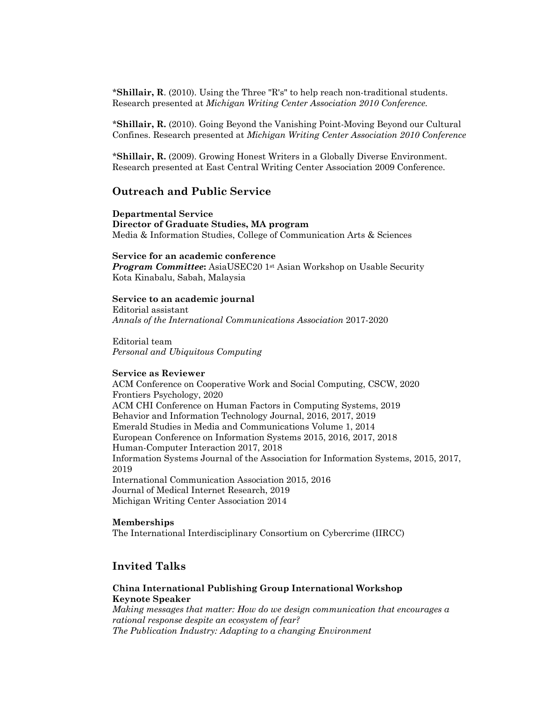\***Shillair, R**. (2010). Using the Three "R's" to help reach non-traditional students. Research presented at *Michigan Writing Center Association 2010 Conference.* 

\***Shillair, R.** (2010). Going Beyond the Vanishing Point-Moving Beyond our Cultural Confines. Research presented at *Michigan Writing Center Association 2010 Conference*

\***Shillair, R.** (2009). Growing Honest Writers in a Globally Diverse Environment. Research presented at East Central Writing Center Association 2009 Conference.

# **Outreach and Public Service**

**Departmental Service Director of Graduate Studies, MA program** Media & Information Studies, College of Communication Arts & Sciences

#### **Service for an academic conference**

**Program Committee:** AsiaUSEC20 1st Asian Workshop on Usable Security Kota Kinabalu, Sabah, Malaysia

#### **Service to an academic journal**

Editorial assistant *Annals of the International Communications Association* 2017-2020

Editorial team *Personal and Ubiquitous Computing*

#### **Service as Reviewer**

ACM Conference on Cooperative Work and Social Computing, CSCW, 2020 Frontiers Psychology, 2020 ACM CHI Conference on Human Factors in Computing Systems, 2019 Behavior and Information Technology Journal, 2016, 2017, 2019 Emerald Studies in Media and Communications Volume 1, 2014 European Conference on Information Systems 2015, 2016, 2017, 2018 Human-Computer Interaction 2017, 2018 Information Systems Journal of the Association for Information Systems, 2015, 2017, 2019 International Communication Association 2015, 2016 Journal of Medical Internet Research, 2019 Michigan Writing Center Association 2014

#### **Memberships**

The International Interdisciplinary Consortium on Cybercrime (IIRCC)

# **Invited Talks**

#### **China International Publishing Group International Workshop Keynote Speaker**

*Making messages that matter: How do we design communication that encourages a rational response despite an ecosystem of fear? The Publication Industry: Adapting to a changing Environment*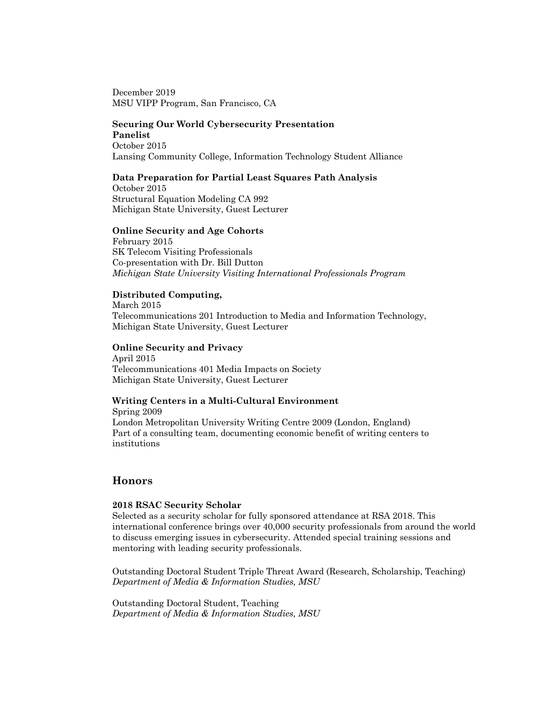December 2019 MSU VIPP Program, San Francisco, CA

# **Securing Our World Cybersecurity Presentation Panelist**

October 2015 Lansing Community College, Information Technology Student Alliance

# **Data Preparation for Partial Least Squares Path Analysis**

October 2015 Structural Equation Modeling CA 992 Michigan State University, Guest Lecturer

## **Online Security and Age Cohorts**

February 2015 SK Telecom Visiting Professionals Co-presentation with Dr. Bill Dutton *Michigan State University Visiting International Professionals Program*

## **Distributed Computing,**

March 2015 Telecommunications 201 Introduction to Media and Information Technology, Michigan State University, Guest Lecturer

## **Online Security and Privacy**

April 2015 Telecommunications 401 Media Impacts on Society Michigan State University, Guest Lecturer

## **Writing Centers in a Multi-Cultural Environment**

Spring 2009 London Metropolitan University Writing Centre 2009 (London, England) Part of a consulting team, documenting economic benefit of writing centers to institutions

# **Honors**

## **2018 RSAC Security Scholar**

Selected as a security scholar for fully sponsored attendance at RSA 2018. This international conference brings over 40,000 security professionals from around the world to discuss emerging issues in cybersecurity. Attended special training sessions and mentoring with leading security professionals.

Outstanding Doctoral Student Triple Threat Award (Research, Scholarship, Teaching) *Department of Media & Information Studies, MSU*

Outstanding Doctoral Student, Teaching *Department of Media & Information Studies, MSU*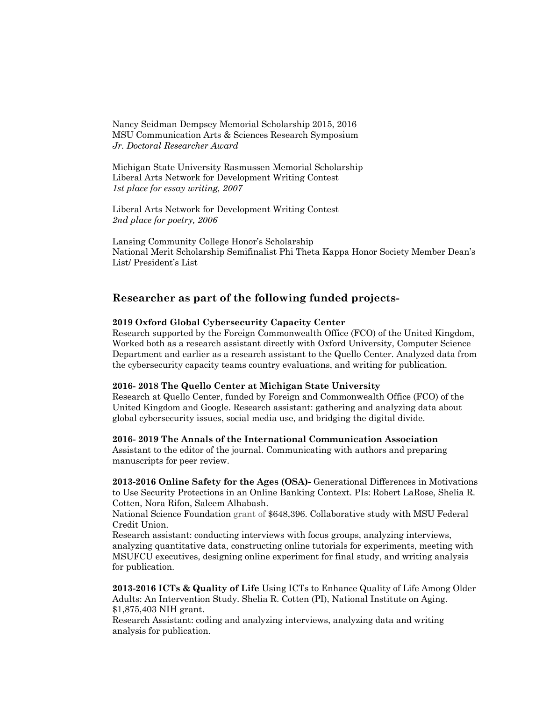Nancy Seidman Dempsey Memorial Scholarship 2015, 2016 MSU Communication Arts & Sciences Research Symposium *Jr. Doctoral Researcher Award*

Michigan State University Rasmussen Memorial Scholarship Liberal Arts Network for Development Writing Contest *1st place for essay writing, 2007*

Liberal Arts Network for Development Writing Contest *2nd place for poetry, 2006*

Lansing Community College Honor's Scholarship National Merit Scholarship Semifinalist Phi Theta Kappa Honor Society Member Dean's List/ President's List

# **Researcher as part of the following funded projects-**

#### **2019 Oxford Global Cybersecurity Capacity Center**

Research supported by the Foreign Commonwealth Office (FCO) of the United Kingdom, Worked both as a research assistant directly with Oxford University, Computer Science Department and earlier as a research assistant to the Quello Center. Analyzed data from the cybersecurity capacity teams country evaluations, and writing for publication.

#### **2016- 2018 The Quello Center at Michigan State University**

Research at Quello Center, funded by Foreign and Commonwealth Office (FCO) of the United Kingdom and Google. Research assistant: gathering and analyzing data about global cybersecurity issues, social media use, and bridging the digital divide.

#### **2016- 2019 The Annals of the International Communication Association**

Assistant to the editor of the journal. Communicating with authors and preparing manuscripts for peer review.

**2013-2016 Online Safety for the Ages (OSA)-** Generational Differences in Motivations to Use Security Protections in an Online Banking Context. PIs: Robert LaRose, Shelia R. Cotten, Nora Rifon, Saleem Alhabash.

National Science Foundation grant of \$648,396. Collaborative study with MSU Federal Credit Union.

Research assistant: conducting interviews with focus groups, analyzing interviews, analyzing quantitative data, constructing online tutorials for experiments, meeting with MSUFCU executives, designing online experiment for final study, and writing analysis for publication.

**2013-2016 ICTs & Quality of Life** Using ICTs to Enhance Quality of Life Among Older Adults: An Intervention Study. Shelia R. Cotten (PI), National Institute on Aging. \$1,875,403 NIH grant.

Research Assistant: coding and analyzing interviews, analyzing data and writing analysis for publication.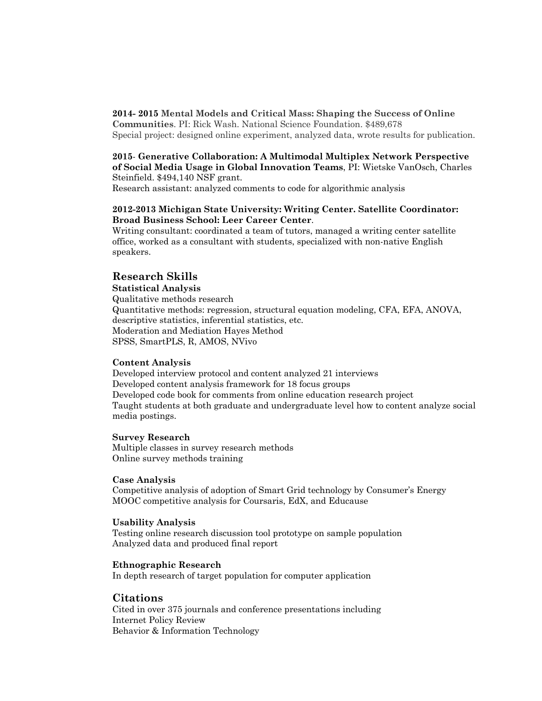## **2014- 2015 Mental Models and Critical Mass: Shaping the Success of Online**

**Communities**. PI: Rick Wash. National Science Foundation. \$489,678 Special project: designed online experiment, analyzed data, wrote results for publication.

## **2015**- **Generative Collaboration: A Multimodal Multiplex Network Perspective of Social Media Usage in Global Innovation Teams**, PI: Wietske VanOsch, Charles Steinfield. \$494,140 NSF grant.

Research assistant: analyzed comments to code for algorithmic analysis

## **2012-2013 Michigan State University: Writing Center. Satellite Coordinator: Broad Business School: Leer Career Center**.

Writing consultant: coordinated a team of tutors, managed a writing center satellite office, worked as a consultant with students, specialized with non-native English speakers.

# **Research Skills**

#### **Statistical Analysis**

Qualitative methods research Quantitative methods: regression, structural equation modeling, CFA, EFA, ANOVA, descriptive statistics, inferential statistics, etc. Moderation and Mediation Hayes Method SPSS, SmartPLS, R, AMOS, NVivo

## **Content Analysis**

Developed interview protocol and content analyzed 21 interviews Developed content analysis framework for 18 focus groups Developed code book for comments from online education research project Taught students at both graduate and undergraduate level how to content analyze social media postings.

#### **Survey Research**

Multiple classes in survey research methods Online survey methods training

#### **Case Analysis**

Competitive analysis of adoption of Smart Grid technology by Consumer's Energy MOOC competitive analysis for Coursaris, EdX, and Educause

#### **Usability Analysis**

Testing online research discussion tool prototype on sample population Analyzed data and produced final report

#### **Ethnographic Research**

In depth research of target population for computer application

# **Citations**

Cited in over 375 journals and conference presentations including Internet Policy Review Behavior & Information Technology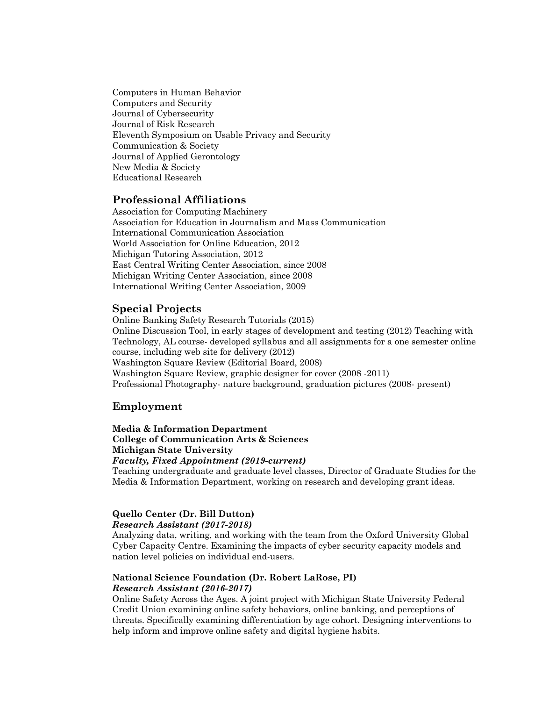Computers in Human Behavior Computers and Security Journal of Cybersecurity Journal of Risk Research Eleventh Symposium on Usable Privacy and Security Communication & Society Journal of Applied Gerontology New Media & Society Educational Research

# **Professional Affiliations**

Association for Computing Machinery Association for Education in Journalism and Mass Communication International Communication Association World Association for Online Education, 2012 Michigan Tutoring Association, 2012 East Central Writing Center Association, since 2008 Michigan Writing Center Association, since 2008 International Writing Center Association, 2009

# **Special Projects**

Online Banking Safety Research Tutorials (2015) Online Discussion Tool, in early stages of development and testing (2012) Teaching with Technology, AL course- developed syllabus and all assignments for a one semester online course, including web site for delivery (2012) Washington Square Review (Editorial Board, 2008) Washington Square Review, graphic designer for cover (2008 -2011) Professional Photography- nature background, graduation pictures (2008- present)

# **Employment**

**Media & Information Department College of Communication Arts & Sciences Michigan State University** *Faculty, Fixed Appointment (2019-current)* Teaching undergraduate and graduate level classes, Director of Graduate Studies for the Media & Information Department, working on research and developing grant ideas.

## **Quello Center (Dr. Bill Dutton)** *Research Assistant (2017-2018)*

Analyzing data, writing, and working with the team from the Oxford University Global Cyber Capacity Centre. Examining the impacts of cyber security capacity models and nation level policies on individual end-users.

# **National Science Foundation (Dr. Robert LaRose, PI)** *Research Assistant (2016-2017)*

Online Safety Across the Ages. A joint project with Michigan State University Federal Credit Union examining online safety behaviors, online banking, and perceptions of threats. Specifically examining differentiation by age cohort. Designing interventions to help inform and improve online safety and digital hygiene habits.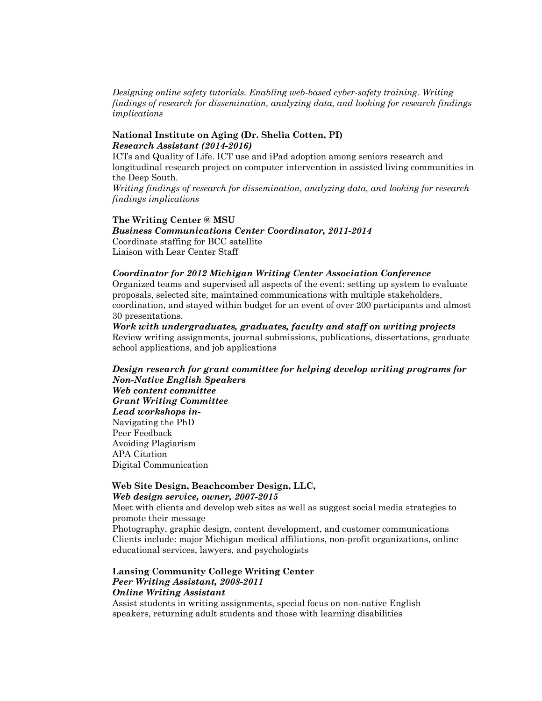*Designing online safety tutorials. Enabling web-based cyber-safety training. Writing findings of research for dissemination, analyzing data, and looking for research findings implications*

#### **National Institute on Aging (Dr. Shelia Cotten, PI)** *Research Assistant (2014-2016)*

ICTs and Quality of Life. ICT use and iPad adoption among seniors research and longitudinal research project on computer intervention in assisted living communities in the Deep South.

*Writing findings of research for dissemination, analyzing data, and looking for research findings implications*

## **The Writing Center @ MSU** *Business Communications Center Coordinator, 2011-2014* Coordinate staffing for BCC satellite Liaison with Lear Center Staff

*Coordinator for 2012 Michigan Writing Center Association Conference* Organized teams and supervised all aspects of the event: setting up system to evaluate proposals, selected site, maintained communications with multiple stakeholders, coordination, and stayed within budget for an event of over 200 participants and almost 30 presentations.

*Work with undergraduates, graduates, faculty and staff on writing projects* Review writing assignments, journal submissions, publications, dissertations, graduate school applications, and job applications

*Design research for grant committee for helping develop writing programs for Non-Native English Speakers Web content committee Grant Writing Committee Lead workshops in-*Navigating the PhD Peer Feedback Avoiding Plagiarism APA Citation Digital Communication

## **Web Site Design, Beachcomber Design, LLC,**  *Web design service, owner, 2007-2015*

Meet with clients and develop web sites as well as suggest social media strategies to promote their message

Photography, graphic design, content development, and customer communications Clients include: major Michigan medical affiliations, non-profit organizations, online educational services, lawyers, and psychologists

# **Lansing Community College Writing Center** *Peer Writing Assistant, 2008-2011 Online Writing Assistant*

Assist students in writing assignments, special focus on non-native English speakers, returning adult students and those with learning disabilities